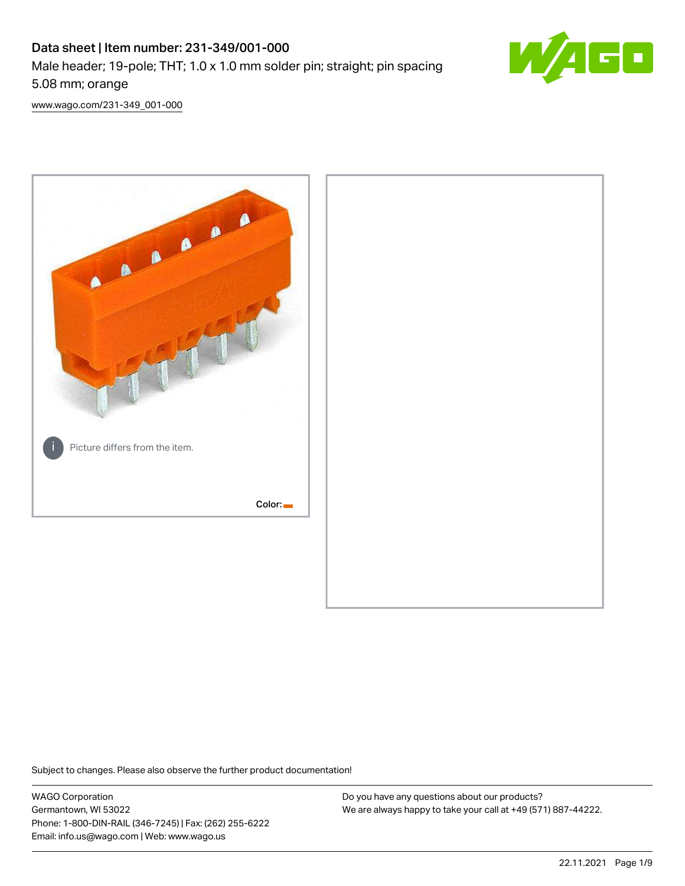# Data sheet | Item number: 231-349/001-000 Male header; 19-pole; THT; 1.0 x 1.0 mm solder pin; straight; pin spacing 5.08 mm; orange



[www.wago.com/231-349\\_001-000](http://www.wago.com/231-349_001-000)



Subject to changes. Please also observe the further product documentation!

WAGO Corporation Germantown, WI 53022 Phone: 1-800-DIN-RAIL (346-7245) | Fax: (262) 255-6222 Email: info.us@wago.com | Web: www.wago.us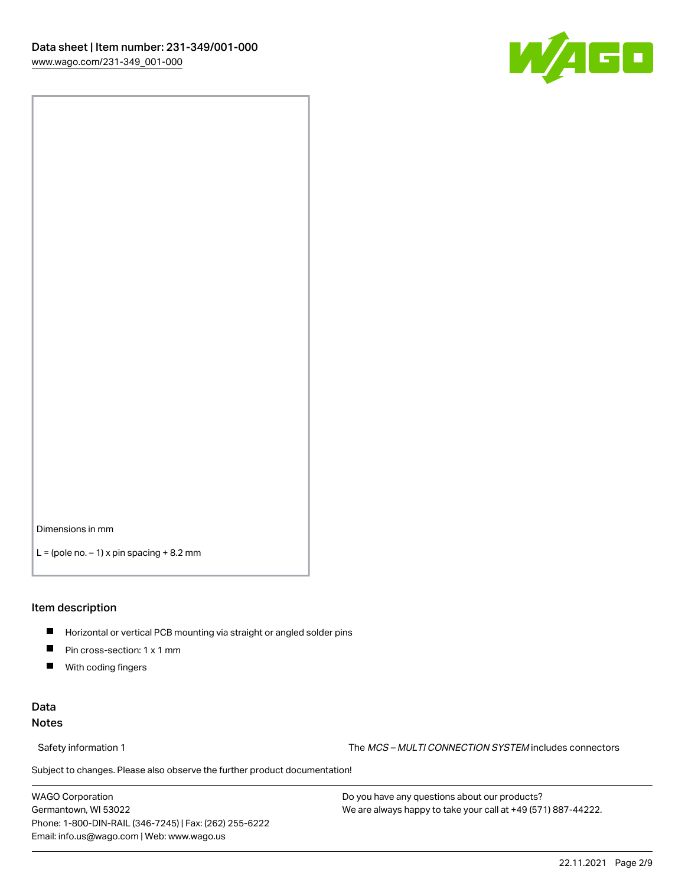

Dimensions in mm

 $L =$  (pole no.  $-1$ ) x pin spacing  $+8.2$  mm

### Item description

- **Horizontal or vertical PCB mounting via straight or angled solder pins**
- **Pin cross-section: 1 x 1 mm**
- $\blacksquare$ With coding fingers

### Data Notes

Safety information 1 The MCS – MULTI CONNECTION SYSTEM includes connectors

Subject to changes. Please also observe the further product documentation!  $\nu$ 

WAGO Corporation Germantown, WI 53022 Phone: 1-800-DIN-RAIL (346-7245) | Fax: (262) 255-6222 Email: info.us@wago.com | Web: www.wago.us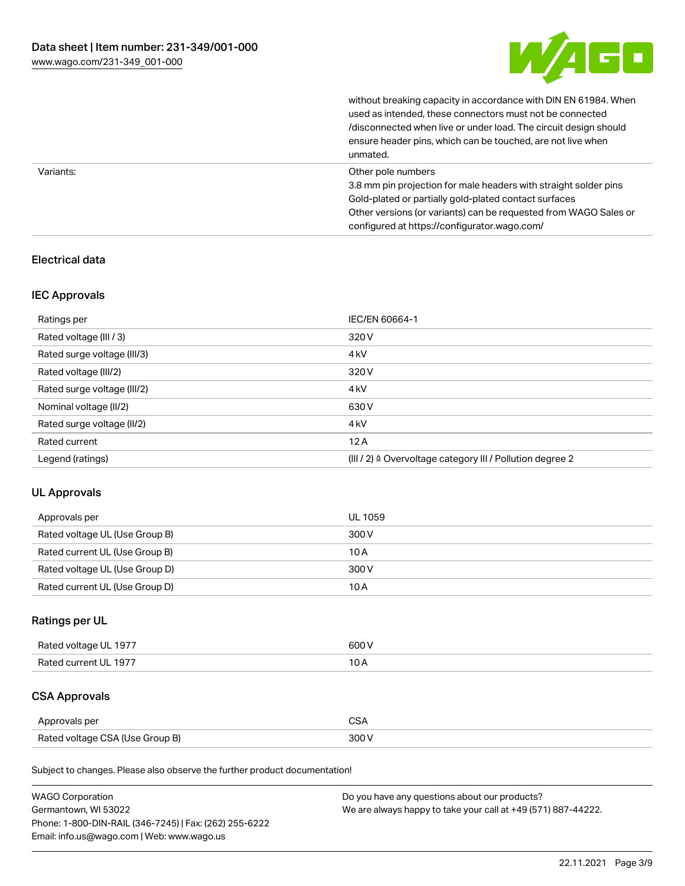

without breaking capacity in accordance with DIN EN 61984. When

|           | used as intended, these connectors must not be connected<br>/disconnected when live or under load. The circuit design should<br>ensure header pins, which can be touched, are not live when<br>unmated.                                                             |
|-----------|---------------------------------------------------------------------------------------------------------------------------------------------------------------------------------------------------------------------------------------------------------------------|
| Variants: | Other pole numbers<br>3.8 mm pin projection for male headers with straight solder pins<br>Gold-plated or partially gold-plated contact surfaces<br>Other versions (or variants) can be requested from WAGO Sales or<br>configured at https://configurator.wago.com/ |

### Electrical data

### IEC Approvals

| Ratings per                 | IEC/EN 60664-1                                            |
|-----------------------------|-----------------------------------------------------------|
| Rated voltage (III / 3)     | 320 V                                                     |
| Rated surge voltage (III/3) | 4 <sub>k</sub> V                                          |
| Rated voltage (III/2)       | 320 V                                                     |
| Rated surge voltage (III/2) | 4 <sub>k</sub> V                                          |
| Nominal voltage (II/2)      | 630 V                                                     |
| Rated surge voltage (II/2)  | 4 <sub>k</sub> V                                          |
| Rated current               | 12A                                                       |
| Legend (ratings)            | (III / 2) ≙ Overvoltage category III / Pollution degree 2 |

### UL Approvals

| Approvals per                  | UL 1059 |
|--------------------------------|---------|
| Rated voltage UL (Use Group B) | 300 V   |
| Rated current UL (Use Group B) | 10 A    |
| Rated voltage UL (Use Group D) | 300 V   |
| Rated current UL (Use Group D) | 10 A    |

### Ratings per UL

| Rated voltage UL 1977 | 600 V |
|-----------------------|-------|
| Rated current UL 1977 |       |

## CSA Approvals

| Approvals per                   |  |
|---------------------------------|--|
| Rated voltage CSA (Use Group B) |  |

Subject to changes. Please also observe the further product documentation!

| <b>WAGO Corporation</b>                                | Do you have any questions about our products?                 |
|--------------------------------------------------------|---------------------------------------------------------------|
| Germantown, WI 53022                                   | We are always happy to take your call at +49 (571) 887-44222. |
| Phone: 1-800-DIN-RAIL (346-7245)   Fax: (262) 255-6222 |                                                               |
| Email: info.us@wago.com   Web: www.wago.us             |                                                               |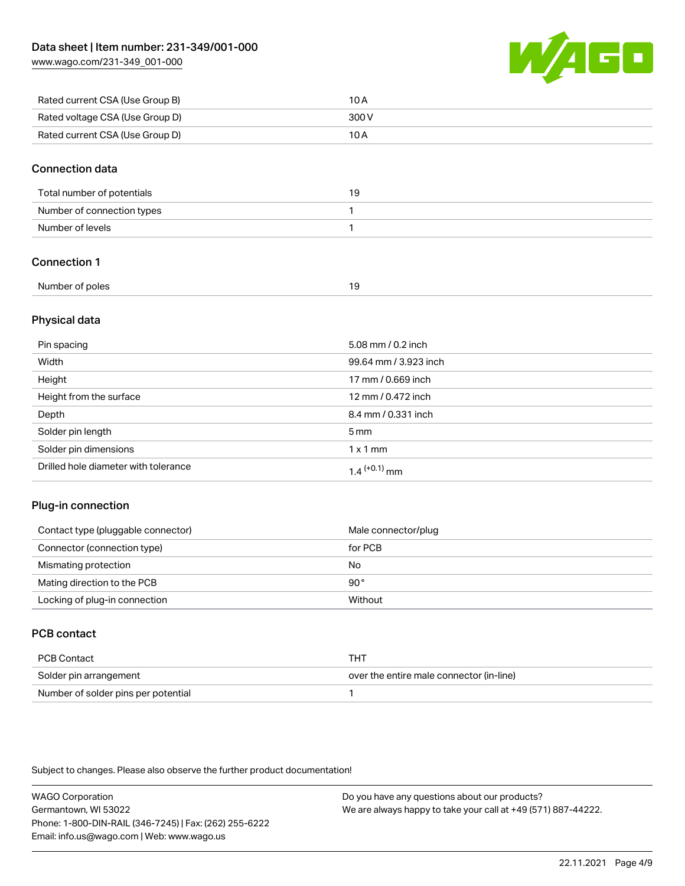[www.wago.com/231-349\\_001-000](http://www.wago.com/231-349_001-000)



| Rated current CSA (Use Group B) | 10 A  |
|---------------------------------|-------|
| Rated voltage CSA (Use Group D) | 300 V |
| Rated current CSA (Use Group D) | 10 A  |

### Connection data

| Total number of potentials | 19 |
|----------------------------|----|
| Number of connection types |    |
| Number of levels           |    |

### Connection 1

| Number of poles |  |
|-----------------|--|
|                 |  |

### Physical data

| Pin spacing                          | 5.08 mm / 0.2 inch    |
|--------------------------------------|-----------------------|
| Width                                | 99.64 mm / 3.923 inch |
| Height                               | 17 mm / 0.669 inch    |
| Height from the surface              | 12 mm / 0.472 inch    |
| Depth                                | 8.4 mm / 0.331 inch   |
| Solder pin length                    | $5 \,\mathrm{mm}$     |
| Solder pin dimensions                | $1 \times 1$ mm       |
| Drilled hole diameter with tolerance | $1.4$ $(+0.1)$ mm     |

### Plug-in connection

| Contact type (pluggable connector) | Male connector/plug |
|------------------------------------|---------------------|
| Connector (connection type)        | for PCB             |
| Mismating protection               | No                  |
| Mating direction to the PCB        | $90^{\circ}$        |
| Locking of plug-in connection      | Without             |

### PCB contact

| PCB Contact                         | тнт                                      |
|-------------------------------------|------------------------------------------|
| Solder pin arrangement              | over the entire male connector (in-line) |
| Number of solder pins per potential |                                          |

Subject to changes. Please also observe the further product documentation!

WAGO Corporation Germantown, WI 53022 Phone: 1-800-DIN-RAIL (346-7245) | Fax: (262) 255-6222 Email: info.us@wago.com | Web: www.wago.us Do you have any questions about our products?

We are always happy to take your call at +49 (571) 887-44222.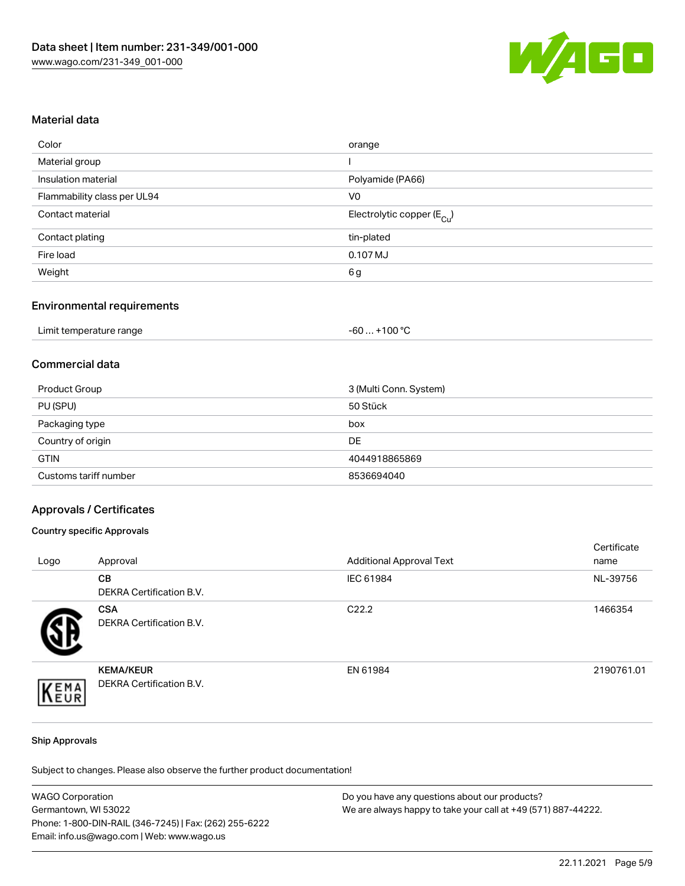

### Material data

| Color                       | orange                                 |
|-----------------------------|----------------------------------------|
| Material group              |                                        |
| Insulation material         | Polyamide (PA66)                       |
| Flammability class per UL94 | V0                                     |
| Contact material            | Electrolytic copper (E <sub>Cu</sub> ) |
| Contact plating             | tin-plated                             |
| Fire load                   | 0.107 MJ                               |
| Weight                      | 6g                                     |
|                             |                                        |

### Environmental requirements

| Limit temperature range | $+100 °C$<br>-60 |
|-------------------------|------------------|
|-------------------------|------------------|

### Commercial data

| Product Group         | 3 (Multi Conn. System) |
|-----------------------|------------------------|
| PU (SPU)              | 50 Stück               |
| Packaging type        | box                    |
| Country of origin     | DE                     |
| <b>GTIN</b>           | 4044918865869          |
| Customs tariff number | 8536694040             |

#### Approvals / Certificates

#### Country specific Approvals

| Logo | Approval                                            | <b>Additional Approval Text</b> | Certificate<br>name |
|------|-----------------------------------------------------|---------------------------------|---------------------|
|      | <b>CB</b><br><b>DEKRA Certification B.V.</b>        | IEC 61984                       | NL-39756            |
|      | <b>CSA</b><br><b>DEKRA Certification B.V.</b>       | C <sub>22.2</sub>               | 1466354             |
| EMA  | <b>KEMA/KEUR</b><br><b>DEKRA Certification B.V.</b> | EN 61984                        | 2190761.01          |

#### Ship Approvals

Subject to changes. Please also observe the further product documentation!

| <b>WAGO Corporation</b>                                | Do you have any questions about our products?                 |
|--------------------------------------------------------|---------------------------------------------------------------|
| Germantown, WI 53022                                   | We are always happy to take your call at +49 (571) 887-44222. |
| Phone: 1-800-DIN-RAIL (346-7245)   Fax: (262) 255-6222 |                                                               |
| Email: info.us@wago.com   Web: www.wago.us             |                                                               |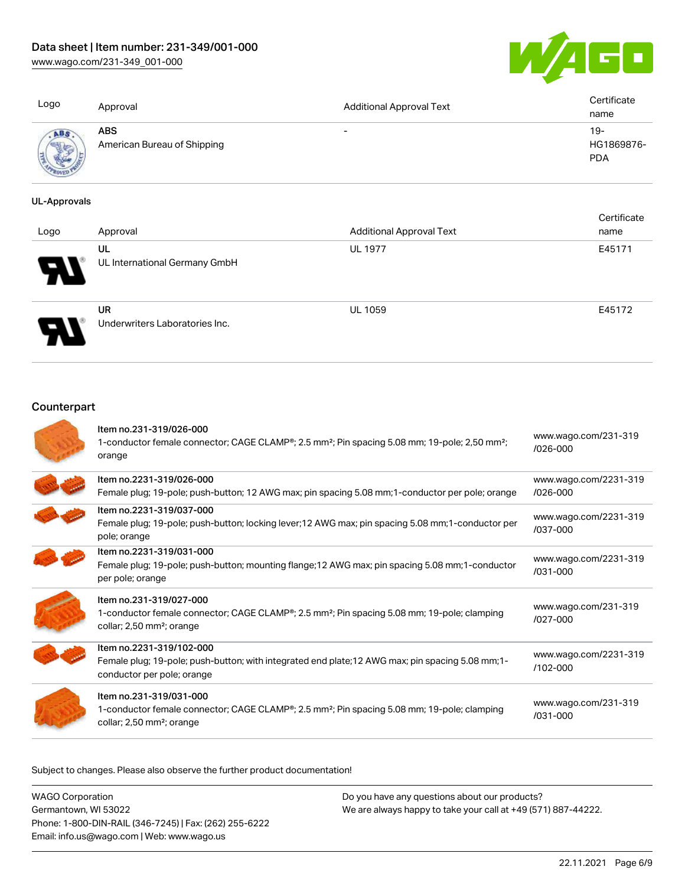[www.wago.com/231-349\\_001-000](http://www.wago.com/231-349_001-000)



| Logo                     | Approval                                  | <b>Additional Approval Text</b> | Certificate<br>name             |
|--------------------------|-------------------------------------------|---------------------------------|---------------------------------|
| ABS<br><b>CONTRACTOR</b> | <b>ABS</b><br>American Bureau of Shipping | $\overline{\phantom{0}}$        | 19-<br>HG1869876-<br><b>PDA</b> |

#### UL-Approvals

| Logo | Approval                                    | <b>Additional Approval Text</b> | Certificate<br>name |
|------|---------------------------------------------|---------------------------------|---------------------|
| Ъ.   | UL<br>UL International Germany GmbH         | <b>UL 1977</b>                  | E45171              |
|      | <b>UR</b><br>Underwriters Laboratories Inc. | <b>UL 1059</b>                  | E45172              |

## **Counterpart**

| Item no.231-319/026-000<br>1-conductor female connector; CAGE CLAMP®; 2.5 mm <sup>2</sup> ; Pin spacing 5.08 mm; 19-pole; 2,50 mm <sup>2</sup> ;<br>orange                               | www.wago.com/231-319<br>$/026 - 000$  |
|------------------------------------------------------------------------------------------------------------------------------------------------------------------------------------------|---------------------------------------|
| Item no.2231-319/026-000<br>Female plug; 19-pole; push-button; 12 AWG max; pin spacing 5.08 mm; 1-conductor per pole; orange                                                             | www.wago.com/2231-319<br>$/026 - 000$ |
| Item no.2231-319/037-000<br>Female plug; 19-pole; push-button; locking lever; 12 AWG max; pin spacing 5.08 mm; 1-conductor per<br>pole; orange                                           | www.wago.com/2231-319<br>/037-000     |
| Item no.2231-319/031-000<br>Female plug; 19-pole; push-button; mounting flange; 12 AWG max; pin spacing 5.08 mm; 1-conductor<br>per pole; orange                                         | www.wago.com/2231-319<br>/031-000     |
| Item no.231-319/027-000<br>1-conductor female connector; CAGE CLAMP <sup>®</sup> ; 2.5 mm <sup>2</sup> ; Pin spacing 5.08 mm; 19-pole; clamping<br>collar; 2,50 mm <sup>2</sup> ; orange | www.wago.com/231-319<br>$1027 - 000$  |
| Item no.2231-319/102-000<br>Female plug; 19-pole; push-button; with integrated end plate; 12 AWG max; pin spacing 5.08 mm; 1-<br>conductor per pole; orange                              | www.wago.com/2231-319<br>/102-000     |
| Item no.231-319/031-000<br>1-conductor female connector; CAGE CLAMP®; 2.5 mm <sup>2</sup> ; Pin spacing 5.08 mm; 19-pole; clamping<br>collar; 2,50 mm <sup>2</sup> ; orange              | www.wago.com/231-319<br>$/031 - 000$  |

Subject to changes. Please also observe the further product documentation!

| <b>WAGO Corporation</b>                                |
|--------------------------------------------------------|
| Germantown, WI 53022                                   |
| Phone: 1-800-DIN-RAIL (346-7245)   Fax: (262) 255-6222 |
| Email: info.us@wago.com   Web: www.wago.us             |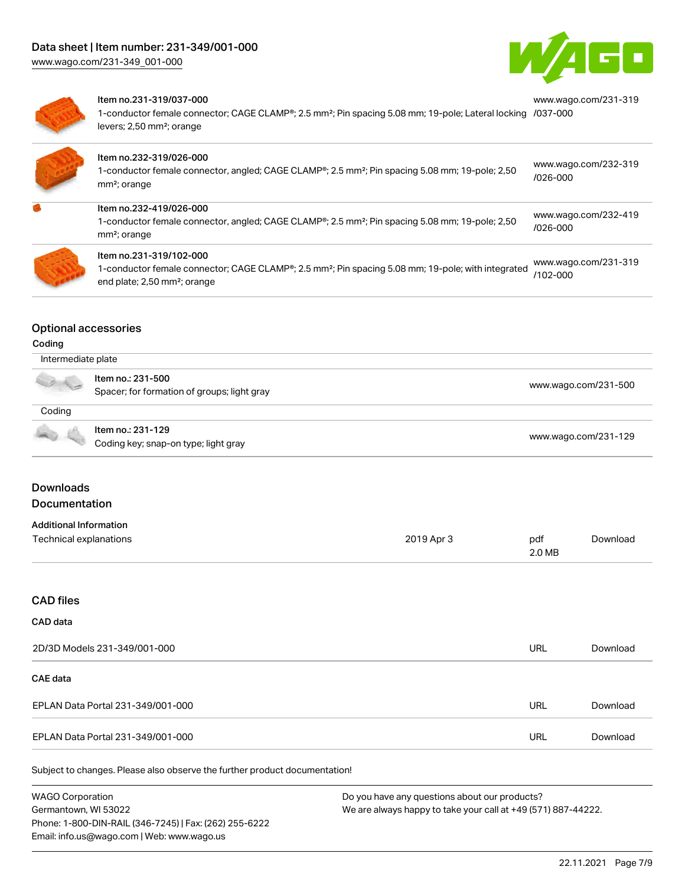

[www.wago.com/231-319](https://www.wago.com/231-319/037-000)



#### Item no.231-319/037-000

1-conductor female connector; CAGE CLAMP®; 2.5 mm²; Pin spacing 5.08 mm; 19-pole; Lateral locking [/037-000](https://www.wago.com/231-319/037-000) levers; 2,50 mm²; orange

| Item no.232-319/026-000<br>1-conductor female connector, angled; CAGE CLAMP®; 2.5 mm <sup>2</sup> ; Pin spacing 5.08 mm; 19-pole; 2,50<br>mm <sup>2</sup> ; orange                    | www.wago.com/232-319<br>$/026 - 000$ |
|---------------------------------------------------------------------------------------------------------------------------------------------------------------------------------------|--------------------------------------|
| Item no.232-419/026-000<br>1-conductor female connector, angled; CAGE CLAMP <sup>®</sup> ; 2.5 mm <sup>2</sup> ; Pin spacing 5.08 mm; 19-pole; 2,50<br>mm <sup>2</sup> ; orange       | www.wago.com/232-419<br>/026-000     |
| Item no.231-319/102-000<br>1-conductor female connector; CAGE CLAMP®; 2.5 mm <sup>2</sup> ; Pin spacing 5.08 mm; 19-pole; with integrated<br>end plate; 2,50 mm <sup>2</sup> ; orange | www.wago.com/231-319<br>$/102 - 000$ |

#### Optional accessories

#### Coding

| Intermediate plate |                                                                  |                      |
|--------------------|------------------------------------------------------------------|----------------------|
| a la               | Item no.: 231-500<br>Spacer; for formation of groups; light gray | www.wago.com/231-500 |
| Coding             |                                                                  |                      |
|                    | Item no.: 231-129<br>Coding key; snap-on type; light gray        | www.wago.com/231-129 |

### **Downloads** Documentation

## Additional Information

| Additional Information |            |        |          |
|------------------------|------------|--------|----------|
| Technical explanations | 2019 Apr 3 | pdf    | Download |
|                        |            | 2.0 MB |          |

### CAD files

### CAD data

| 2D/3D Models 231-349/001-000      | URL | Download |
|-----------------------------------|-----|----------|
| CAE data                          |     |          |
| EPLAN Data Portal 231-349/001-000 | URL | Download |
| EPLAN Data Portal 231-349/001-000 | URL | Download |

Subject to changes. Please also observe the further product documentation!

WAGO Corporation Germantown, WI 53022 Phone: 1-800-DIN-RAIL (346-7245) | Fax: (262) 255-6222 Email: info.us@wago.com | Web: www.wago.us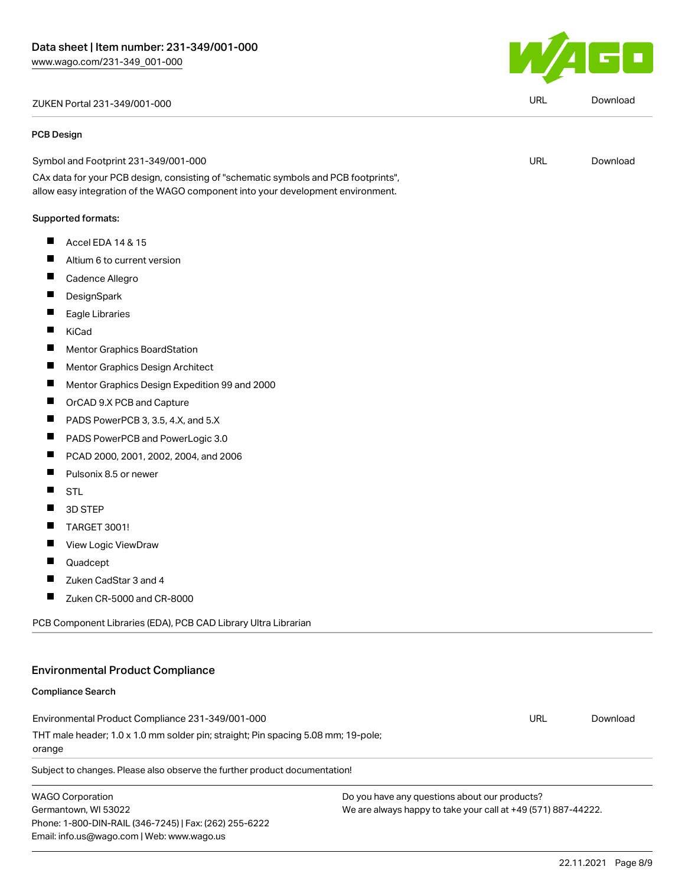## ZUKEN Portal 231-349/001-000 URL [Download](https://www.wago.com/global/d/Zuken_URLS_231-349_001-000)

#### PCB Design

| Symbol and Footprint 231-349/001-000                                               | URL | Download |
|------------------------------------------------------------------------------------|-----|----------|
| CAy deta for your DCP degian, consisting of "schametic symbols and DCP footprinte" |     |          |

CAx data for your PCB design, consisting of "schematic symbols and PCB footprints", allow easy integration of the WAGO component into your development environment.

#### Supported formats:

- $\blacksquare$ Accel EDA 14 & 15
- $\blacksquare$ Altium 6 to current version
- $\blacksquare$ Cadence Allegro
- $\blacksquare$ **DesignSpark**
- $\blacksquare$ Eagle Libraries
- $\blacksquare$ KiCad
- $\blacksquare$ Mentor Graphics BoardStation
- $\blacksquare$ Mentor Graphics Design Architect
- $\blacksquare$ Mentor Graphics Design Expedition 99 and 2000
- $\blacksquare$ OrCAD 9.X PCB and Capture
- $\blacksquare$ PADS PowerPCB 3, 3.5, 4.X, and 5.X
- П PADS PowerPCB and PowerLogic 3.0
- $\blacksquare$ PCAD 2000, 2001, 2002, 2004, and 2006
- $\blacksquare$ Pulsonix 8.5 or newer
- $\blacksquare$ STL
- $\blacksquare$ 3D STEP
- $\blacksquare$ TARGET 3001!
- $\blacksquare$ View Logic ViewDraw
- $\blacksquare$ Quadcept
- $\blacksquare$ Zuken CadStar 3 and 4
- $\blacksquare$ Zuken CR-5000 and CR-8000

PCB Component Libraries (EDA), PCB CAD Library Ultra Librarian

### Environmental Product Compliance

#### Compliance Search

Environmental Product Compliance 231-349/001-000 THT male header; 1.0 x 1.0 mm solder pin; straight; Pin spacing 5.08 mm; 19-pole; orange URL [Download](https://www.wago.com/global/d/ComplianceLinkMediaContainer_231-349_001-000)

Subject to changes. Please also observe the further product documentation!

WAGO Corporation Germantown, WI 53022 Phone: 1-800-DIN-RAIL (346-7245) | Fax: (262) 255-6222 Email: info.us@wago.com | Web: www.wago.us